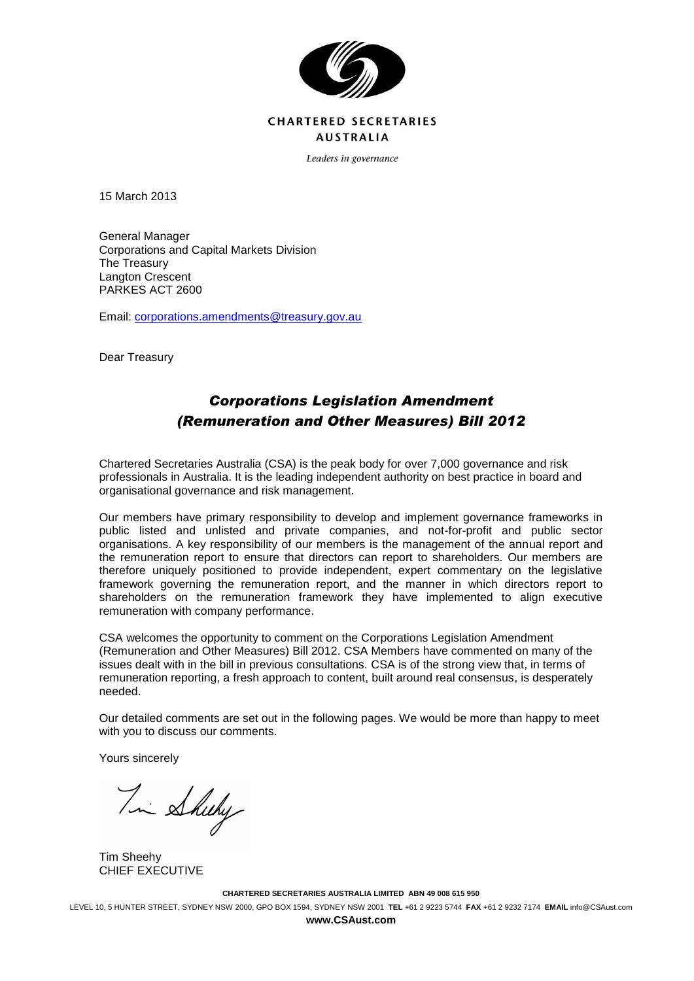

## **CHARTERED SECRETARIES AUSTRALIA**

Leaders in governance

15 March 2013

General Manager Corporations and Capital Markets Division The Treasury Langton Crescent PARKES ACT 2600

Email: [corporations.amendments@treasury.gov.au](mailto:corporations.amendments@treasury.gov.au)

Dear Treasury

# *Corporations Legislation Amendment (Remuneration and Other Measures) Bill 2012*

Chartered Secretaries Australia (CSA) is the peak body for over 7,000 governance and risk professionals in Australia. It is the leading independent authority on best practice in board and organisational governance and risk management.

Our members have primary responsibility to develop and implement governance frameworks in public listed and unlisted and private companies, and not-for-profit and public sector organisations. A key responsibility of our members is the management of the annual report and the remuneration report to ensure that directors can report to shareholders. Our members are therefore uniquely positioned to provide independent, expert commentary on the legislative framework governing the remuneration report, and the manner in which directors report to shareholders on the remuneration framework they have implemented to align executive remuneration with company performance.

CSA welcomes the opportunity to comment on the Corporations Legislation Amendment (Remuneration and Other Measures) Bill 2012. CSA Members have commented on many of the issues dealt with in the bill in previous consultations. CSA is of the strong view that, in terms of remuneration reporting, a fresh approach to content, built around real consensus, is desperately needed.

Our detailed comments are set out in the following pages. We would be more than happy to meet with you to discuss our comments.

Yours sincerely

Tim Sheeky

Tim Sheehy CHIEF EXECUTIVE

**CHARTERED SECRETARIES AUSTRALIA LIMITED ABN 49 008 615 950**

LEVEL 10, 5 HUNTER STREET, SYDNEY NSW 2000, GPO BOX 1594, SYDNEY NSW 2001 **TEL** +61 2 9223 5744 **FAX** +61 2 9232 7174 **EMAIL** info@CSAust.com

**www.CSAust.com**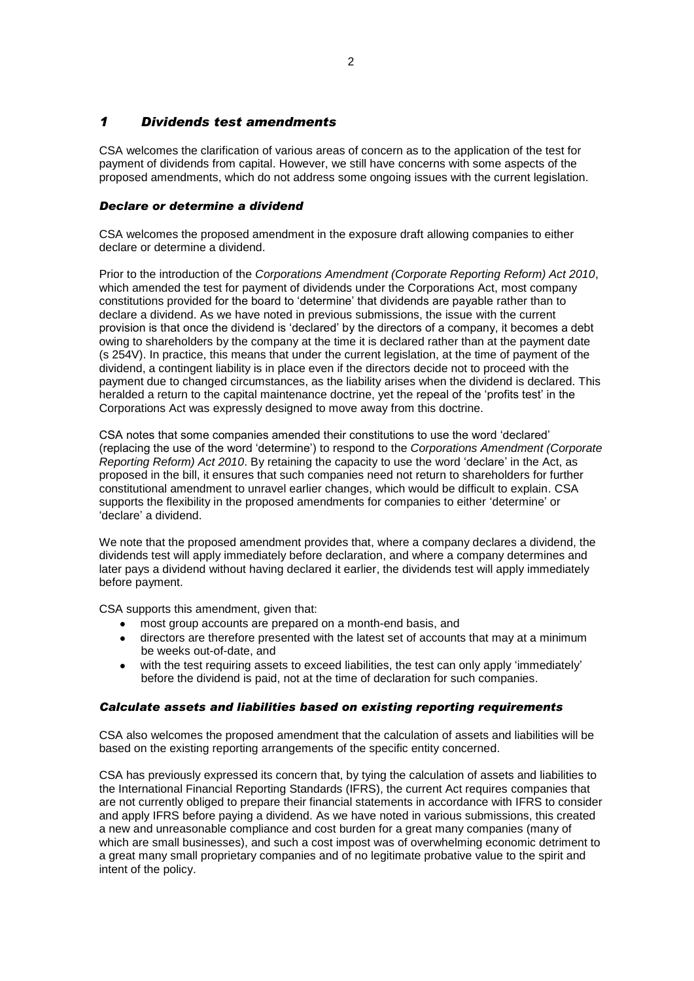### *1 Dividends test amendments*

CSA welcomes the clarification of various areas of concern as to the application of the test for payment of dividends from capital. However, we still have concerns with some aspects of the proposed amendments, which do not address some ongoing issues with the current legislation.

### *Declare or determine a dividend*

CSA welcomes the proposed amendment in the exposure draft allowing companies to either declare or determine a dividend.

Prior to the introduction of the *Corporations Amendment (Corporate Reporting Reform) Act 2010*, which amended the test for payment of dividends under the Corporations Act, most company constitutions provided for the board to 'determine' that dividends are payable rather than to declare a dividend. As we have noted in previous submissions, the issue with the current provision is that once the dividend is 'declared' by the directors of a company, it becomes a debt owing to shareholders by the company at the time it is declared rather than at the payment date (s 254V). In practice, this means that under the current legislation, at the time of payment of the dividend, a contingent liability is in place even if the directors decide not to proceed with the payment due to changed circumstances, as the liability arises when the dividend is declared. This heralded a return to the capital maintenance doctrine, yet the repeal of the 'profits test' in the Corporations Act was expressly designed to move away from this doctrine.

CSA notes that some companies amended their constitutions to use the word 'declared' (replacing the use of the word 'determine') to respond to the *Corporations Amendment (Corporate Reporting Reform) Act 2010*. By retaining the capacity to use the word 'declare' in the Act, as proposed in the bill, it ensures that such companies need not return to shareholders for further constitutional amendment to unravel earlier changes, which would be difficult to explain. CSA supports the flexibility in the proposed amendments for companies to either 'determine' or 'declare' a dividend.

We note that the proposed amendment provides that, where a company declares a dividend, the dividends test will apply immediately before declaration, and where a company determines and later pays a dividend without having declared it earlier, the dividends test will apply immediately before payment.

CSA supports this amendment, given that:

- most group accounts are prepared on a month-end basis, and
- directors are therefore presented with the latest set of accounts that may at a minimum be weeks out-of-date, and
- with the test requiring assets to exceed liabilities, the test can only apply 'immediately'  $\bullet$ before the dividend is paid, not at the time of declaration for such companies.

#### *Calculate assets and liabilities based on existing reporting requirements*

CSA also welcomes the proposed amendment that the calculation of assets and liabilities will be based on the existing reporting arrangements of the specific entity concerned.

CSA has previously expressed its concern that, by tying the calculation of assets and liabilities to the International Financial Reporting Standards (IFRS), the current Act requires companies that are not currently obliged to prepare their financial statements in accordance with IFRS to consider and apply IFRS before paying a dividend. As we have noted in various submissions, this created a new and unreasonable compliance and cost burden for a great many companies (many of which are small businesses), and such a cost impost was of overwhelming economic detriment to a great many small proprietary companies and of no legitimate probative value to the spirit and intent of the policy.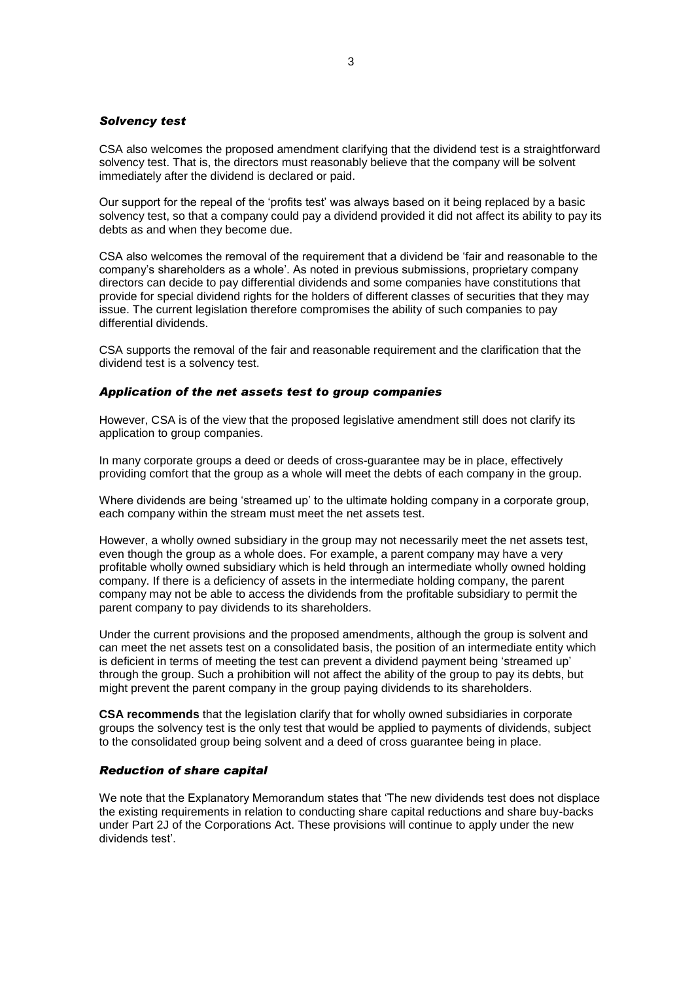#### *Solvency test*

CSA also welcomes the proposed amendment clarifying that the dividend test is a straightforward solvency test. That is, the directors must reasonably believe that the company will be solvent immediately after the dividend is declared or paid.

Our support for the repeal of the 'profits test' was always based on it being replaced by a basic solvency test, so that a company could pay a dividend provided it did not affect its ability to pay its debts as and when they become due.

CSA also welcomes the removal of the requirement that a dividend be 'fair and reasonable to the company's shareholders as a whole'. As noted in previous submissions, proprietary company directors can decide to pay differential dividends and some companies have constitutions that provide for special dividend rights for the holders of different classes of securities that they may issue. The current legislation therefore compromises the ability of such companies to pay differential dividends.

CSA supports the removal of the fair and reasonable requirement and the clarification that the dividend test is a solvency test.

#### *Application of the net assets test to group companies*

However, CSA is of the view that the proposed legislative amendment still does not clarify its application to group companies.

In many corporate groups a deed or deeds of cross-guarantee may be in place, effectively providing comfort that the group as a whole will meet the debts of each company in the group.

Where dividends are being 'streamed up' to the ultimate holding company in a corporate group, each company within the stream must meet the net assets test.

However, a wholly owned subsidiary in the group may not necessarily meet the net assets test, even though the group as a whole does. For example, a parent company may have a very profitable wholly owned subsidiary which is held through an intermediate wholly owned holding company. If there is a deficiency of assets in the intermediate holding company, the parent company may not be able to access the dividends from the profitable subsidiary to permit the parent company to pay dividends to its shareholders.

Under the current provisions and the proposed amendments, although the group is solvent and can meet the net assets test on a consolidated basis, the position of an intermediate entity which is deficient in terms of meeting the test can prevent a dividend payment being 'streamed up' through the group. Such a prohibition will not affect the ability of the group to pay its debts, but might prevent the parent company in the group paying dividends to its shareholders.

**CSA recommends** that the legislation clarify that for wholly owned subsidiaries in corporate groups the solvency test is the only test that would be applied to payments of dividends, subject to the consolidated group being solvent and a deed of cross guarantee being in place.

#### *Reduction of share capital*

We note that the Explanatory Memorandum states that 'The new dividends test does not displace the existing requirements in relation to conducting share capital reductions and share buy-backs under Part 2J of the Corporations Act. These provisions will continue to apply under the new dividends test'.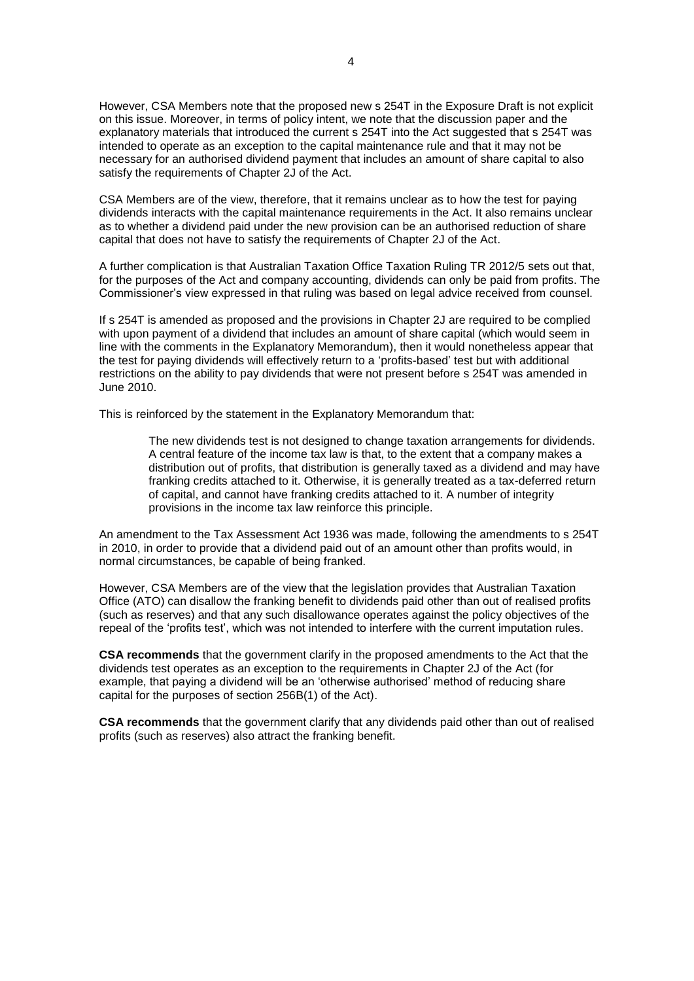However, CSA Members note that the proposed new s 254T in the Exposure Draft is not explicit on this issue. Moreover, in terms of policy intent, we note that the discussion paper and the explanatory materials that introduced the current s 254T into the Act suggested that s 254T was intended to operate as an exception to the capital maintenance rule and that it may not be necessary for an authorised dividend payment that includes an amount of share capital to also satisfy the requirements of Chapter 2J of the Act.

CSA Members are of the view, therefore, that it remains unclear as to how the test for paying dividends interacts with the capital maintenance requirements in the Act. It also remains unclear as to whether a dividend paid under the new provision can be an authorised reduction of share capital that does not have to satisfy the requirements of Chapter 2J of the Act.

A further complication is that Australian Taxation Office Taxation Ruling TR 2012/5 sets out that, for the purposes of the Act and company accounting, dividends can only be paid from profits. The Commissioner's view expressed in that ruling was based on legal advice received from counsel.

If s 254T is amended as proposed and the provisions in Chapter 2J are required to be complied with upon payment of a dividend that includes an amount of share capital (which would seem in line with the comments in the Explanatory Memorandum), then it would nonetheless appear that the test for paying dividends will effectively return to a 'profits-based' test but with additional restrictions on the ability to pay dividends that were not present before s 254T was amended in June 2010.

This is reinforced by the statement in the Explanatory Memorandum that:

The new dividends test is not designed to change taxation arrangements for dividends. A central feature of the income tax law is that, to the extent that a company makes a distribution out of profits, that distribution is generally taxed as a dividend and may have franking credits attached to it. Otherwise, it is generally treated as a tax-deferred return of capital, and cannot have franking credits attached to it. A number of integrity provisions in the income tax law reinforce this principle.

An amendment to the Tax Assessment Act 1936 was made, following the amendments to s 254T in 2010, in order to provide that a dividend paid out of an amount other than profits would, in normal circumstances, be capable of being franked.

However, CSA Members are of the view that the legislation provides that Australian Taxation Office (ATO) can disallow the franking benefit to dividends paid other than out of realised profits (such as reserves) and that any such disallowance operates against the policy objectives of the repeal of the 'profits test', which was not intended to interfere with the current imputation rules.

**CSA recommends** that the government clarify in the proposed amendments to the Act that the dividends test operates as an exception to the requirements in Chapter 2J of the Act (for example, that paying a dividend will be an 'otherwise authorised' method of reducing share capital for the purposes of section 256B(1) of the Act).

**CSA recommends** that the government clarify that any dividends paid other than out of realised profits (such as reserves) also attract the franking benefit.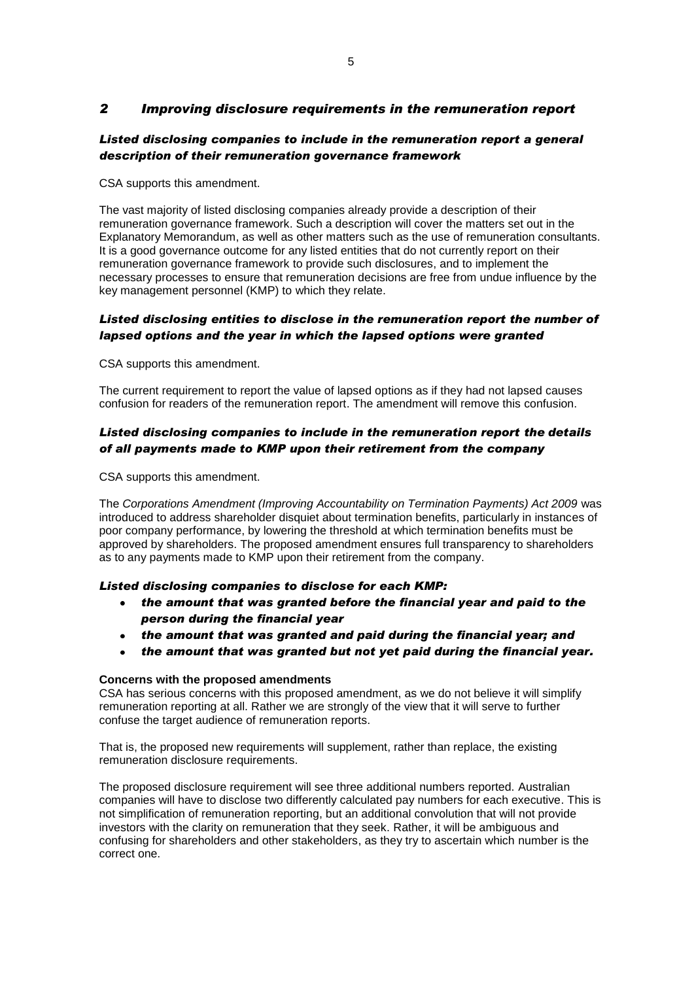### *2 Improving disclosure requirements in the remuneration report*

### Listed disclosing companies to include in the remuneration report a general *description of their remuneration governance framework*

CSA supports this amendment.

The vast majority of listed disclosing companies already provide a description of their remuneration governance framework. Such a description will cover the matters set out in the Explanatory Memorandum, as well as other matters such as the use of remuneration consultants. It is a good governance outcome for any listed entities that do not currently report on their remuneration governance framework to provide such disclosures, and to implement the necessary processes to ensure that remuneration decisions are free from undue influence by the key management personnel (KMP) to which they relate.

### *Listed disclosing entities to disclose in the remuneration report the number of lapsed options and the year in which the lapsed options were granted*

CSA supports this amendment.

The current requirement to report the value of lapsed options as if they had not lapsed causes confusion for readers of the remuneration report. The amendment will remove this confusion.

### *Listed disclosing companies to include in the remuneration report the details of all payments made to KMP upon their retirement from the company*

CSA supports this amendment.

The *Corporations Amendment (Improving Accountability on Termination Payments) Act 2009* was introduced to address shareholder disquiet about termination benefits, particularly in instances of poor company performance, by lowering the threshold at which termination benefits must be approved by shareholders. The proposed amendment ensures full transparency to shareholders as to any payments made to KMP upon their retirement from the company.

### *Listed disclosing companies to disclose for each KMP:*

- *the amount that was granted before the financial year and paid to the*   $\bullet$ *person during the financial year*
- *the amount that was granted and paid during the financial year; and*
- *the amount that was granted but not yet paid during the financial year.*

#### **Concerns with the proposed amendments**

CSA has serious concerns with this proposed amendment, as we do not believe it will simplify remuneration reporting at all. Rather we are strongly of the view that it will serve to further confuse the target audience of remuneration reports.

That is, the proposed new requirements will supplement, rather than replace, the existing remuneration disclosure requirements.

The proposed disclosure requirement will see three additional numbers reported. Australian companies will have to disclose two differently calculated pay numbers for each executive. This is not simplification of remuneration reporting, but an additional convolution that will not provide investors with the clarity on remuneration that they seek. Rather, it will be ambiguous and confusing for shareholders and other stakeholders, as they try to ascertain which number is the correct one.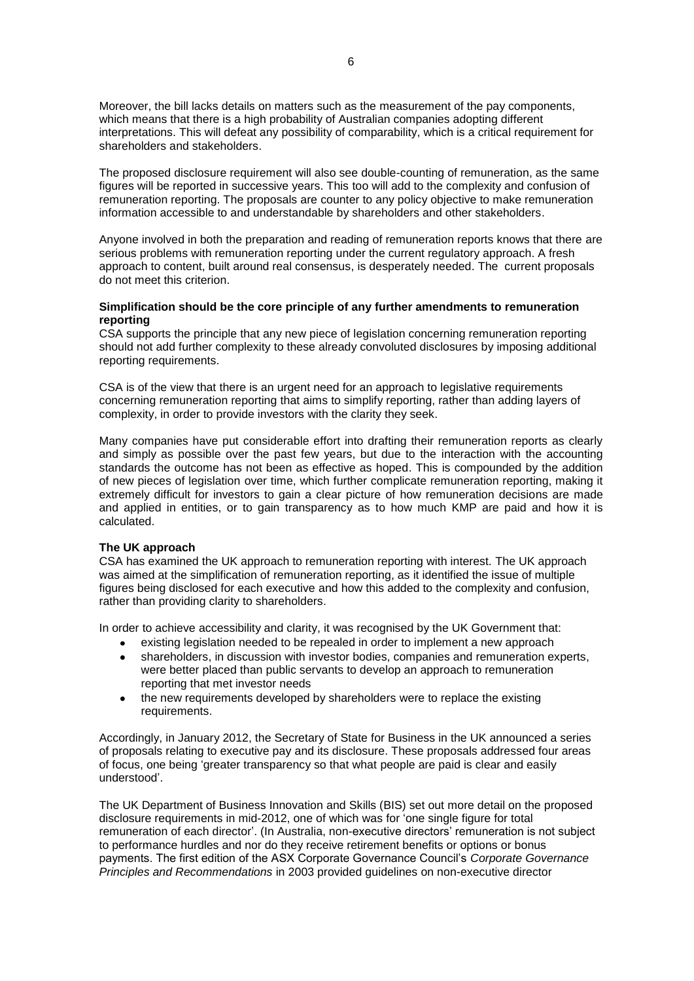Moreover, the bill lacks details on matters such as the measurement of the pay components, which means that there is a high probability of Australian companies adopting different interpretations. This will defeat any possibility of comparability, which is a critical requirement for shareholders and stakeholders.

The proposed disclosure requirement will also see double-counting of remuneration, as the same figures will be reported in successive years. This too will add to the complexity and confusion of remuneration reporting. The proposals are counter to any policy objective to make remuneration information accessible to and understandable by shareholders and other stakeholders.

Anyone involved in both the preparation and reading of remuneration reports knows that there are serious problems with remuneration reporting under the current regulatory approach. A fresh approach to content, built around real consensus, is desperately needed. The current proposals do not meet this criterion.

#### **Simplification should be the core principle of any further amendments to remuneration reporting**

CSA supports the principle that any new piece of legislation concerning remuneration reporting should not add further complexity to these already convoluted disclosures by imposing additional reporting requirements.

CSA is of the view that there is an urgent need for an approach to legislative requirements concerning remuneration reporting that aims to simplify reporting, rather than adding layers of complexity, in order to provide investors with the clarity they seek.

Many companies have put considerable effort into drafting their remuneration reports as clearly and simply as possible over the past few years, but due to the interaction with the accounting standards the outcome has not been as effective as hoped. This is compounded by the addition of new pieces of legislation over time, which further complicate remuneration reporting, making it extremely difficult for investors to gain a clear picture of how remuneration decisions are made and applied in entities, or to gain transparency as to how much KMP are paid and how it is calculated.

#### **The UK approach**

CSA has examined the UK approach to remuneration reporting with interest. The UK approach was aimed at the simplification of remuneration reporting, as it identified the issue of multiple figures being disclosed for each executive and how this added to the complexity and confusion, rather than providing clarity to shareholders.

In order to achieve accessibility and clarity, it was recognised by the UK Government that:

- existing legislation needed to be repealed in order to implement a new approach
- shareholders, in discussion with investor bodies, companies and remuneration experts,  $\bullet$ were better placed than public servants to develop an approach to remuneration reporting that met investor needs
- the new requirements developed by shareholders were to replace the existing requirements.

Accordingly, in January 2012, the Secretary of State for Business in the UK announced a series of proposals relating to executive pay and its disclosure. These proposals addressed four areas of focus, one being 'greater transparency so that what people are paid is clear and easily understood'.

The UK Department of Business Innovation and Skills (BIS) set out more detail on the proposed disclosure requirements in mid-2012, one of which was for 'one single figure for total remuneration of each director'. (In Australia, non-executive directors' remuneration is not subject to performance hurdles and nor do they receive retirement benefits or options or bonus payments. The first edition of the ASX Corporate Governance Council's *Corporate Governance Principles and Recommendations* in 2003 provided guidelines on non-executive director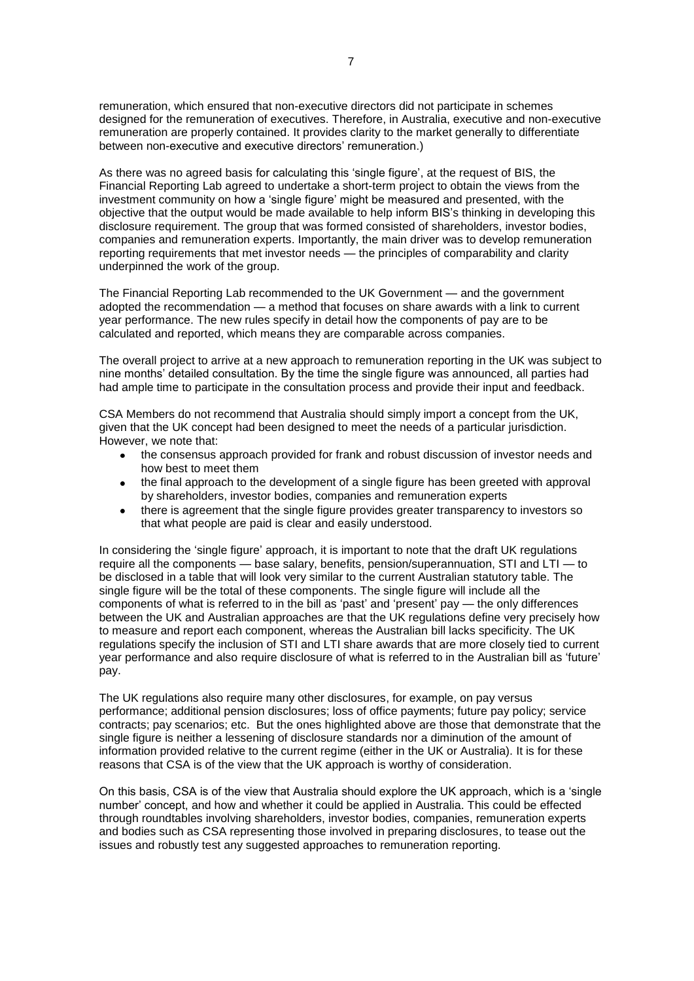remuneration, which ensured that non-executive directors did not participate in schemes designed for the remuneration of executives. Therefore, in Australia, executive and non-executive remuneration are properly contained. It provides clarity to the market generally to differentiate between non-executive and executive directors' remuneration.)

As there was no agreed basis for calculating this 'single figure', at the request of BIS, the Financial Reporting Lab agreed to undertake a short-term project to obtain the views from the investment community on how a 'single figure' might be measured and presented, with the objective that the output would be made available to help inform BIS's thinking in developing this disclosure requirement. The group that was formed consisted of shareholders, investor bodies, companies and remuneration experts. Importantly, the main driver was to develop remuneration reporting requirements that met investor needs — the principles of comparability and clarity underpinned the work of the group.

The Financial Reporting Lab recommended to the UK Government — and the government adopted the recommendation — a method that focuses on share awards with a link to current year performance. The new rules specify in detail how the components of pay are to be calculated and reported, which means they are comparable across companies.

The overall project to arrive at a new approach to remuneration reporting in the UK was subject to nine months' detailed consultation. By the time the single figure was announced, all parties had had ample time to participate in the consultation process and provide their input and feedback.

CSA Members do not recommend that Australia should simply import a concept from the UK, given that the UK concept had been designed to meet the needs of a particular jurisdiction. However, we note that:

- the consensus approach provided for frank and robust discussion of investor needs and how best to meet them
- the final approach to the development of a single figure has been greeted with approval by shareholders, investor bodies, companies and remuneration experts
- there is agreement that the single figure provides greater transparency to investors so that what people are paid is clear and easily understood.

In considering the 'single figure' approach, it is important to note that the draft UK regulations require all the components — base salary, benefits, pension/superannuation, STI and LTI — to be disclosed in a table that will look very similar to the current Australian statutory table. The single figure will be the total of these components. The single figure will include all the components of what is referred to in the bill as 'past' and 'present' pay — the only differences between the UK and Australian approaches are that the UK regulations define very precisely how to measure and report each component, whereas the Australian bill lacks specificity. The UK regulations specify the inclusion of STI and LTI share awards that are more closely tied to current year performance and also require disclosure of what is referred to in the Australian bill as 'future' pay.

The UK regulations also require many other disclosures, for example, on pay versus performance; additional pension disclosures; loss of office payments; future pay policy; service contracts; pay scenarios; etc. But the ones highlighted above are those that demonstrate that the single figure is neither a lessening of disclosure standards nor a diminution of the amount of information provided relative to the current regime (either in the UK or Australia). It is for these reasons that CSA is of the view that the UK approach is worthy of consideration.

On this basis, CSA is of the view that Australia should explore the UK approach, which is a 'single number' concept, and how and whether it could be applied in Australia. This could be effected through roundtables involving shareholders, investor bodies, companies, remuneration experts and bodies such as CSA representing those involved in preparing disclosures, to tease out the issues and robustly test any suggested approaches to remuneration reporting.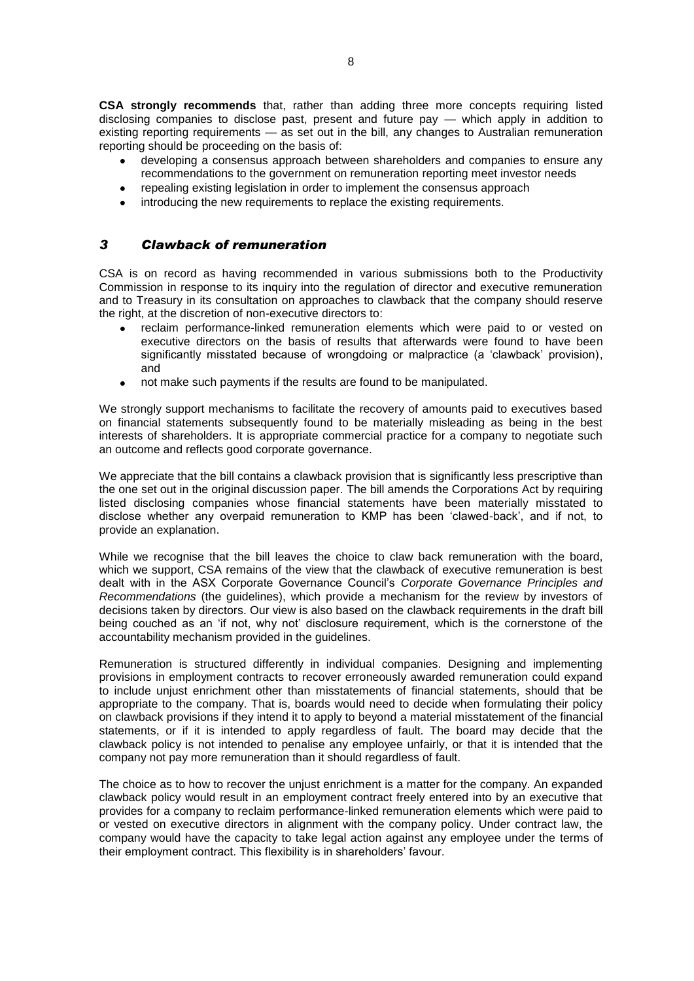**CSA strongly recommends** that, rather than adding three more concepts requiring listed disclosing companies to disclose past, present and future pay — which apply in addition to existing reporting requirements — as set out in the bill, any changes to Australian remuneration reporting should be proceeding on the basis of:

- developing a consensus approach between shareholders and companies to ensure any recommendations to the government on remuneration reporting meet investor needs
- repealing existing legislation in order to implement the consensus approach
- introducing the new requirements to replace the existing requirements.

### *3 Clawback of remuneration*

CSA is on record as having recommended in various submissions both to the Productivity Commission in response to its inquiry into the regulation of director and executive remuneration and to Treasury in its consultation on approaches to clawback that the company should reserve the right, at the discretion of non-executive directors to:

- reclaim performance-linked remuneration elements which were paid to or vested on executive directors on the basis of results that afterwards were found to have been significantly misstated because of wrongdoing or malpractice (a 'clawback' provision), and
- not make such payments if the results are found to be manipulated.  $\bullet$

We strongly support mechanisms to facilitate the recovery of amounts paid to executives based on financial statements subsequently found to be materially misleading as being in the best interests of shareholders. It is appropriate commercial practice for a company to negotiate such an outcome and reflects good corporate governance.

We appreciate that the bill contains a clawback provision that is significantly less prescriptive than the one set out in the original discussion paper. The bill amends the Corporations Act by requiring listed disclosing companies whose financial statements have been materially misstated to disclose whether any overpaid remuneration to KMP has been 'clawed-back', and if not, to provide an explanation.

While we recognise that the bill leaves the choice to claw back remuneration with the board, which we support, CSA remains of the view that the clawback of executive remuneration is best dealt with in the ASX Corporate Governance Council's *Corporate Governance Principles and Recommendations* (the guidelines), which provide a mechanism for the review by investors of decisions taken by directors. Our view is also based on the clawback requirements in the draft bill being couched as an 'if not, why not' disclosure requirement, which is the cornerstone of the accountability mechanism provided in the guidelines.

Remuneration is structured differently in individual companies. Designing and implementing provisions in employment contracts to recover erroneously awarded remuneration could expand to include unjust enrichment other than misstatements of financial statements, should that be appropriate to the company. That is, boards would need to decide when formulating their policy on clawback provisions if they intend it to apply to beyond a material misstatement of the financial statements, or if it is intended to apply regardless of fault. The board may decide that the clawback policy is not intended to penalise any employee unfairly, or that it is intended that the company not pay more remuneration than it should regardless of fault.

The choice as to how to recover the unjust enrichment is a matter for the company. An expanded clawback policy would result in an employment contract freely entered into by an executive that provides for a company to reclaim performance-linked remuneration elements which were paid to or vested on executive directors in alignment with the company policy. Under contract law, the company would have the capacity to take legal action against any employee under the terms of their employment contract. This flexibility is in shareholders' favour.